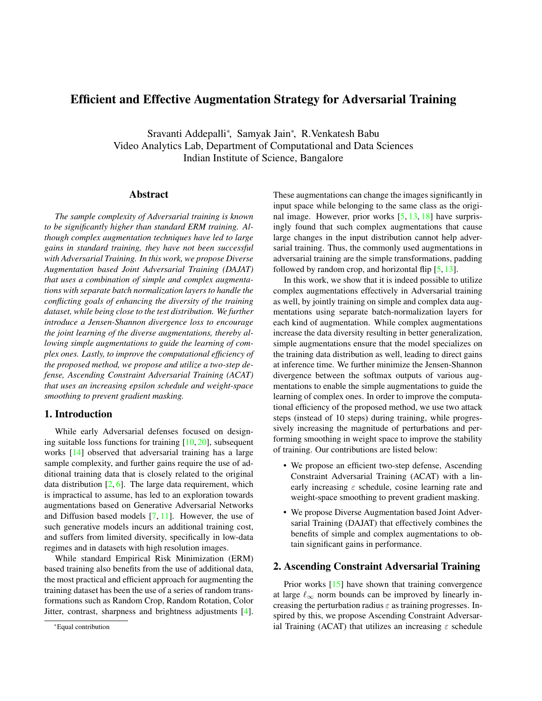# <span id="page-0-1"></span>Efficient and Effective Augmentation Strategy for Adversarial Training

Sravanti Addepalli\*, Samyak Jain\*, R.Venkatesh Babu Video Analytics Lab, Department of Computational and Data Sciences Indian Institute of Science, Bangalore

## Abstract

*The sample complexity of Adversarial training is known to be significantly higher than standard ERM training. Although complex augmentation techniques have led to large gains in standard training, they have not been successful with Adversarial Training. In this work, we propose Diverse Augmentation based Joint Adversarial Training (DAJAT) that uses a combination of simple and complex augmentations with separate batch normalization layers to handle the conflicting goals of enhancing the diversity of the training dataset, while being close to the test distribution. We further introduce a Jensen-Shannon divergence loss to encourage the joint learning of the diverse augmentations, thereby allowing simple augmentations to guide the learning of complex ones. Lastly, to improve the computational efficiency of the proposed method, we propose and utilize a two-step defense, Ascending Constraint Adversarial Training (ACAT) that uses an increasing epsilon schedule and weight-space smoothing to prevent gradient masking.*

### 1. Introduction

While early Adversarial defenses focused on designing suitable loss functions for training  $[10, 20]$  $[10, 20]$  $[10, 20]$ , subsequent works [\[14\]](#page-3-2) observed that adversarial training has a large sample complexity, and further gains require the use of additional training data that is closely related to the original data distribution  $[2, 6]$  $[2, 6]$  $[2, 6]$ . The large data requirement, which is impractical to assume, has led to an exploration towards augmentations based on Generative Adversarial Networks and Diffusion based models [\[7,](#page-3-5) [11\]](#page-3-6). However, the use of such generative models incurs an additional training cost, and suffers from limited diversity, specifically in low-data regimes and in datasets with high resolution images.

While standard Empirical Risk Minimization (ERM) based training also benefits from the use of additional data, the most practical and efficient approach for augmenting the training dataset has been the use of a series of random transformations such as Random Crop, Random Rotation, Color Jitter, contrast, sharpness and brightness adjustments [\[4\]](#page-3-7).

These augmentations can change the images significantly in input space while belonging to the same class as the original image. However, prior works  $[5, 13, 18]$  $[5, 13, 18]$  $[5, 13, 18]$  $[5, 13, 18]$  $[5, 13, 18]$  have surprisingly found that such complex augmentations that cause large changes in the input distribution cannot help adversarial training. Thus, the commonly used augmentations in adversarial training are the simple transformations, padding followed by random crop, and horizontal flip  $[5, 13]$  $[5, 13]$  $[5, 13]$ .

In this work, we show that it is indeed possible to utilize complex augmentations effectively in Adversarial training as well, by jointly training on simple and complex data augmentations using separate batch-normalization layers for each kind of augmentation. While complex augmentations increase the data diversity resulting in better generalization, simple augmentations ensure that the model specializes on the training data distribution as well, leading to direct gains at inference time. We further minimize the Jensen-Shannon divergence between the softmax outputs of various augmentations to enable the simple augmentations to guide the learning of complex ones. In order to improve the computational efficiency of the proposed method, we use two attack steps (instead of 10 steps) during training, while progressively increasing the magnitude of perturbations and performing smoothing in weight space to improve the stability of training. Our contributions are listed below:

- We propose an efficient two-step defense, Ascending Constraint Adversarial Training (ACAT) with a linearly increasing  $\varepsilon$  schedule, cosine learning rate and weight-space smoothing to prevent gradient masking.
- We propose Diverse Augmentation based Joint Adversarial Training (DAJAT) that effectively combines the benefits of simple and complex augmentations to obtain significant gains in performance.

### <span id="page-0-0"></span>2. Ascending Constraint Adversarial Training

Prior works [\[15\]](#page-3-11) have shown that training convergence at large  $\ell_{\infty}$  norm bounds can be improved by linearly increasing the perturbation radius  $\varepsilon$  as training progresses. Inspired by this, we propose Ascending Constraint Adversarial Training (ACAT) that utilizes an increasing  $\varepsilon$  schedule

<sup>\*</sup>Equal contribution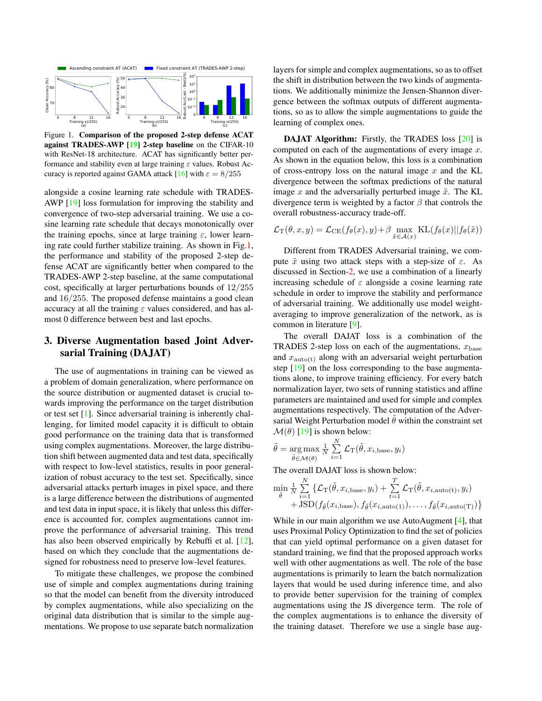<span id="page-1-1"></span><span id="page-1-0"></span>

Figure 1. Comparison of the proposed 2-step defense ACAT against TRADES-AWP [\[19\]](#page-3-12) 2-step baseline on the CIFAR-10 with ResNet-18 architecture. ACAT has significantly better performance and stability even at large training  $\varepsilon$  values. Robust Ac-curacy is reported against GAMA attack [\[16\]](#page-3-13) with  $\varepsilon = 8/255$ 

alongside a cosine learning rate schedule with TRADES-AWP [\[19\]](#page-3-12) loss formulation for improving the stability and convergence of two-step adversarial training. We use a cosine learning rate schedule that decays monotonically over the training epochs, since at large training  $\varepsilon$ , lower learning rate could further stabilize training. As shown in Fig[.1,](#page-1-0) the performance and stability of the proposed 2-step defense ACAT are significantly better when compared to the TRADES-AWP 2-step baseline, at the same computational cost, specifically at larger perturbations bounds of 12/255 and 16/255. The proposed defense maintains a good clean accuracy at all the training  $\varepsilon$  values considered, and has almost 0 difference between best and last epochs.

## 3. Diverse Augmentation based Joint Adversarial Training (DAJAT)

The use of augmentations in training can be viewed as a problem of domain generalization, where performance on the source distribution or augmented dataset is crucial towards improving the performance on the target distribution or test set [\[1\]](#page-3-14). Since adversarial training is inherently challenging, for limited model capacity it is difficult to obtain good performance on the training data that is transformed using complex augmentations. Moreover, the large distribution shift between augmented data and test data, specifically with respect to low-level statistics, results in poor generalization of robust accuracy to the test set. Specifically, since adversarial attacks perturb images in pixel space, and there is a large difference between the distributions of augmented and test data in input space, it is likely that unless this difference is accounted for, complex augmentations cannot improve the performance of adversarial training. This trend has also been observed empirically by Rebuffi et al. [\[12\]](#page-3-15), based on which they conclude that the augmentations designed for robustness need to preserve low-level features.

To mitigate these challenges, we propose the combined use of simple and complex augmentations during training so that the model can benefit from the diversity introduced by complex augmentations, while also specializing on the original data distribution that is similar to the simple augmentations. We propose to use separate batch normalization layers for simple and complex augmentations, so as to offset the shift in distribution between the two kinds of augmentations. We additionally minimize the Jensen-Shannon divergence between the softmax outputs of different augmentations, so as to allow the simple augmentations to guide the learning of complex ones.

DAJAT Algorithm: Firstly, the TRADES loss [\[20\]](#page-3-1) is computed on each of the augmentations of every image  $x$ . As shown in the equation below, this loss is a combination of cross-entropy loss on the natural image  $x$  and the KL divergence between the softmax predictions of the natural image x and the adversarially perturbed image  $\tilde{x}$ . The KL divergence term is weighted by a factor  $\beta$  that controls the overall robustness-accuracy trade-off.

$$
\mathcal{L}_{\mathrm{T}}(\theta, x, y) = \mathcal{L}_{\mathrm{CE}}(f_{\theta}(x), y) + \beta \max_{\tilde{x} \in \mathcal{A}(x)} \mathrm{KL}(f_{\theta}(x)||f_{\theta}(\tilde{x}))
$$

Different from TRADES Adversarial training, we compute  $\tilde{x}$  using two attack steps with a step-size of  $\varepsilon$ . As discussed in Section[-2,](#page-0-0) we use a combination of a linearly increasing schedule of  $\varepsilon$  alongside a cosine learning rate schedule in order to improve the stability and performance of adversarial training. We additionally use model weightaveraging to improve generalization of the network, as is common in literature [\[9\]](#page-3-16).

The overall DAJAT loss is a combination of the TRADES 2-step loss on each of the augmentations,  $x_{base}$ and  $x_{\text{auto}(t)}$  along with an adversarial weight perturbation step [\[19\]](#page-3-12) on the loss corresponding to the base augmentations alone, to improve training efficiency. For every batch normalization layer, two sets of running statistics and affine parameters are maintained and used for simple and complex augmentations respectively. The computation of the Adversarial Weight Perturbation model  $\theta$  within the constraint set  $\mathcal{M}(\theta)$  [\[19\]](#page-3-12) is shown below:

$$
\tilde{\theta} = \underset{\tilde{\theta} \in \mathcal{M}(\theta)}{\arg \max} \frac{1}{N} \sum_{i=1}^{N} \mathcal{L}_{\text{T}}(\tilde{\theta}, x_{i, \text{base}}, y_i)
$$

The overall DAJAT loss is shown below:

$$
\min_{\tilde{\theta}} \frac{1}{N} \sum_{i=1}^{N} \left\{ \mathcal{L}_{\text{T}}(\tilde{\theta}, x_{i, \text{base}}, y_i) + \sum_{t=1}^{T} \mathcal{L}_{\text{T}}(\tilde{\theta}, x_{i, \text{auto}(t)}, y_i) + JSD(f_{\tilde{\theta}}(x_{i, \text{base}}), f_{\tilde{\theta}}(x_{i, \text{auto}(1)}), \dots, f_{\tilde{\theta}}(x_{i, \text{auto}(T)}) \right\}
$$

While in our main algorithm we use AutoAugment [\[4\]](#page-3-7), that uses Proximal Policy Optimization to find the set of policies that can yield optimal performance on a given dataset for standard training, we find that the proposed approach works well with other augmentations as well. The role of the base augmentations is primarily to learn the batch normalization layers that would be used during inference time, and also to provide better supervision for the training of complex augmentations using the JS divergence term. The role of the complex augmentations is to enhance the diversity of the training dataset. Therefore we use a single base aug-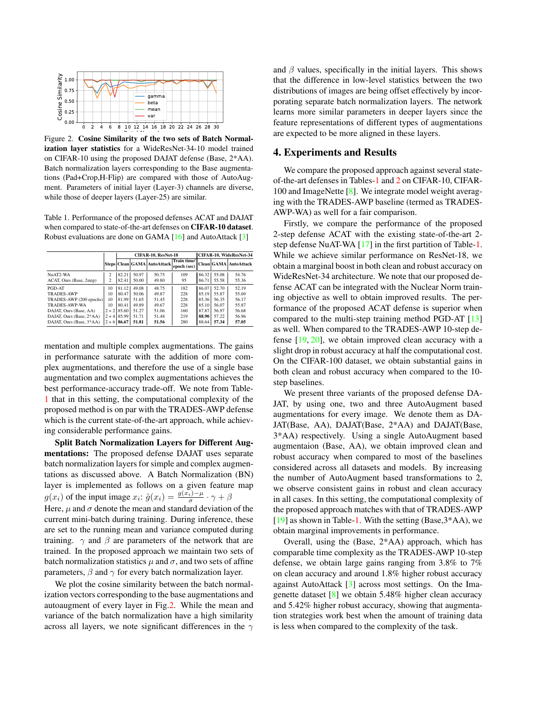<span id="page-2-2"></span><span id="page-2-1"></span>

Figure 2. Cosine Similarity of the two sets of Batch Normalization layer statistics for a WideResNet-34-10 model trained on CIFAR-10 using the proposed DAJAT defense (Base, 2\*AA). Batch normalization layers corresponding to the Base augmentations (Pad+Crop,H-Flip) are compared with those of AutoAugment. Parameters of initial layer (Layer-3) channels are diverse, while those of deeper layers (Layer-25) are similar.

<span id="page-2-0"></span>Table 1. Performance of the proposed defenses ACAT and DAJAT when compared to state-of-the-art defenses on CIFAR-10 dataset. Robust evaluations are done on GAMA [\[16\]](#page-3-13) and AutoAttack [\[3\]](#page-3-17)

|                          |                           | CIFAR-10, ResNet-18 |       |                                   |                            |       | CIFAR-10, WideResNet-34 |                              |  |  |
|--------------------------|---------------------------|---------------------|-------|-----------------------------------|----------------------------|-------|-------------------------|------------------------------|--|--|
|                          |                           |                     |       | Steps   Clean   GAMA   AutoAttack | Train time/<br>epoch (sec) |       |                         | <b>Clean GAMA</b> AutoAttack |  |  |
| NuAT2-WA                 | 2                         | 82.21               | 50.97 | 50.75                             | 109                        | 86.32 | 55.08                   | 54.76                        |  |  |
| ACAT, Ours (Base, 2step) | $\overline{\mathfrak{c}}$ | 82.41               | 50.00 | 49.80                             | 95                         | 86.71 | 55.58                   | 55.36                        |  |  |
| PGD-AT                   | 10                        | 81.12               | 49.08 | 48.75                             | 182                        | 86.07 | 52.70                   | 52.19                        |  |  |
| <b>TRADES-AWP</b>        | 10                        | 80.47               | 50.06 | 49.87                             | 228                        | 85.19 | 55.87                   | 55.69                        |  |  |
| TRADES-AWP (200 epochs)  | 10                        | 81.99               | 51.65 | 51.45                             | 228                        | 85.36 | 56.35                   | 56.17                        |  |  |
| TRADES-AWP-WA            | 10                        | 80.41               | 49.89 | 49.67                             | 228                        | 85.10 | 56.07                   | 55.87                        |  |  |
| DAJAT, Ours (Base, AA)   |                           | $2 + 2$   85.60     | 51.27 | 51.06                             | 160                        | 87.87 | 56.97                   | 56.68                        |  |  |
| DAJAT, Ours (Base, 2*AA) |                           | $2 + 4$ 85.99       | 51.71 | 51.48                             | 219                        | 88.90 | 57.22                   | 56.96                        |  |  |
| DAJAT, Ours (Base, 3*AA) | $2 + 6$                   | 86.67               | 51.81 | 51.56                             | 280                        | 88.64 | 57.34                   | 57.05                        |  |  |

mentation and multiple complex augmentations. The gains in performance saturate with the addition of more complex augmentations, and therefore the use of a single base augmentation and two complex augmentations achieves the best performance-accuracy trade-off. We note from Table-[1](#page-2-0) that in this setting, the computational complexity of the proposed method is on par with the TRADES-AWP defense which is the current state-of-the-art approach, while achieving considerable performance gains.

Split Batch Normalization Layers for Different Augmentations: The proposed defense DAJAT uses separate batch normalization layers for simple and complex augmentations as discussed above. A Batch Normalization (BN) layer is implemented as follows on a given feature map  $g(x_i)$  of the input image  $x_i$ :  $\hat{g}(x_i) = \frac{g(x_i) - \mu}{\sigma} \cdot \gamma + \beta$ Here,  $\mu$  and  $\sigma$  denote the mean and standard deviation of the current mini-batch during training. During inference, these are set to the running mean and variance computed during training.  $\gamma$  and  $\beta$  are parameters of the network that are trained. In the proposed approach we maintain two sets of batch normalization statistics  $\mu$  and  $\sigma$ , and two sets of affine parameters,  $\beta$  and  $\gamma$  for every batch normalization layer.

We plot the cosine similarity between the batch normalization vectors corresponding to the base augmentations and autoaugment of every layer in Fig[.2.](#page-2-1) While the mean and variance of the batch normalization have a high similarity across all layers, we note significant differences in the  $\gamma$ 

and  $\beta$  values, specifically in the initial layers. This shows that the difference in low-level statistics between the two distributions of images are being offset effectively by incorporating separate batch normalization layers. The network learns more similar parameters in deeper layers since the feature representations of different types of augmentations are expected to be more aligned in these layers.

#### 4. Experiments and Results

We compare the proposed approach against several stateof-the-art defenses in Tables[-1](#page-2-0) and [2](#page-3-18) on CIFAR-10, CIFAR-100 and ImageNette [\[8\]](#page-3-19). We integrate model weight averaging with the TRADES-AWP baseline (termed as TRADES-AWP-WA) as well for a fair comparison.

Firstly, we compare the performance of the proposed 2-step defense ACAT with the existing state-of-the-art 2 step defense NuAT-WA [\[17\]](#page-3-20) in the first partition of Table[-1.](#page-2-0) While we achieve similar performance on ResNet-18, we obtain a marginal boost in both clean and robust accuracy on WideResNet-34 architecture. We note that our proposed defense ACAT can be integrated with the Nuclear Norm training objective as well to obtain improved results. The performance of the proposed ACAT defense is superior when compared to the multi-step training method PGD-AT [\[13\]](#page-3-9) as well. When compared to the TRADES-AWP 10-step defense [\[19,](#page-3-12) [20\]](#page-3-1), we obtain improved clean accuracy with a slight drop in robust accuracy at half the computational cost. On the CIFAR-100 dataset, we obtain substantial gains in both clean and robust accuracy when compared to the 10 step baselines.

We present three variants of the proposed defense DA-JAT, by using one, two and three AutoAugment based augmentations for every image. We denote them as DA-JAT(Base, AA), DAJAT(Base, 2\*AA) and DAJAT(Base, 3\*AA) respectively. Using a single AutoAugment based augmentaion (Base, AA), we obtain improved clean and robust accuracy when compared to most of the baselines considered across all datasets and models. By increasing the number of AutoAugment based transformations to 2, we observe consistent gains in robust and clean accuracy in all cases. In this setting, the computational complexity of the proposed approach matches with that of TRADES-AWP [\[19\]](#page-3-12) as shown in Table[-1.](#page-2-0) With the setting (Base,3\*AA), we obtain marginal improvements in performance.

Overall, using the (Base, 2\*AA) approach, which has comparable time complexity as the TRADES-AWP 10-step defense, we obtain large gains ranging from 3.8% to 7% on clean accuracy and around 1.8% higher robust accuracy against AutoAttack [\[3\]](#page-3-17) across most settings. On the Imagenette dataset [\[8\]](#page-3-19) we obtain 5.48% higher clean accuracy and 5.42% higher robust accuracy, showing that augmentation strategies work best when the amount of training data is less when compared to the complexity of the task.